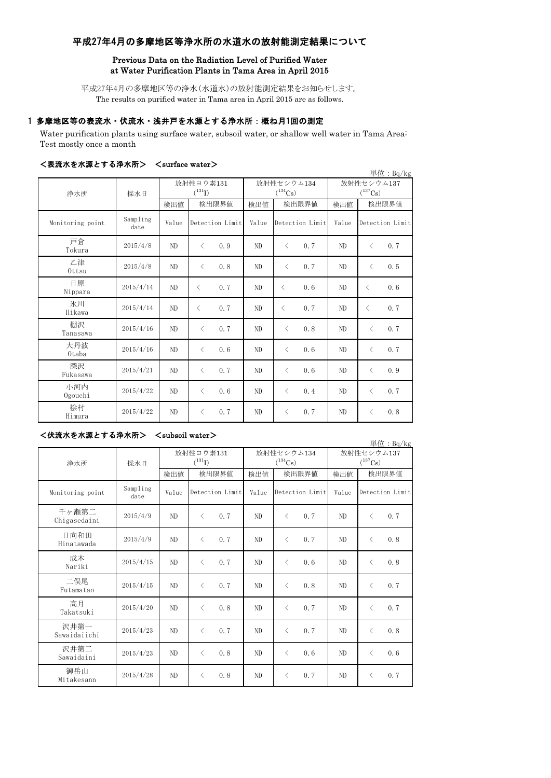# 平成27年4月の多摩地区等浄水所の水道水の放射能測定結果について

## Previous Data on the Radiation Level of Purified Water at Water Purification Plants in Tama Area in April 2015

平成27年4月の多摩地区等の浄水(水道水)の放射能測定結果をお知らせします。 The results on purified water in Tama area in April 2015 are as follows.

# 1 多摩地区等の表流水・伏流水・浅井戸を水源とする浄水所:概ね月1回の測定

Water purification plants using surface water, subsoil water, or shallow well water in Tama Area: Test mostly once a month

|                  |                  |                          |                  |                            |                                                  |                                     | 単位: Bq/kg        |
|------------------|------------------|--------------------------|------------------|----------------------------|--------------------------------------------------|-------------------------------------|------------------|
| 浄水所              | 採水日              | 放射性ヨウ素131<br>$(^{131}I)$ |                  | 放射性セシウム134<br>$(^{134}Cs)$ |                                                  | 放射性セシウム137<br>$(^{137}\mathrm{Cs})$ |                  |
|                  |                  | 検出値                      | 検出限界値            | 検出値                        | 検出限界値                                            | 検出値                                 | 検出限界値            |
| Monitoring point | Sampling<br>date | Value                    | Detection Limit  | Value                      | Detection Limit                                  | Value                               | Detection Limit  |
| 戸倉<br>Tokura     | 2015/4/8         | ND                       | 0.9<br>$\langle$ | ND                         | 0.7<br>$\langle$                                 | ND                                  | 0.7<br>$\langle$ |
| 乙津<br>Ottsu      | 2015/4/8         | ND                       | 0.8<br>$\langle$ | ND                         | 0.7<br>$\langle$                                 | ND                                  | 0.5<br>$\langle$ |
| 日原<br>Nippara    | 2015/4/14        | ND                       | 0.7<br>$\lt$     | ND                         | 0, 6<br>$\overline{\left\langle \right\rangle }$ | ND                                  | 0.6<br>$\langle$ |
| 氷川<br>Hikawa     | 2015/4/14        | ND                       | 0.7<br>$\lt$     | ND                         | 0.7<br>$\overline{\left\langle \right\rangle }$  | ND                                  | 0.7<br>$\langle$ |
| 棚沢<br>Tanasawa   | 2015/4/16        | ND                       | 0.7<br>$\langle$ | ND                         | 0.8<br>$\langle$                                 | ND                                  | 0.7<br>$\langle$ |
| 大丹波<br>0taba     | 2015/4/16        | ND                       | 0.6<br>$\langle$ | ND                         | 0.6<br>$\langle$                                 | N <sub>D</sub>                      | 0.7<br>$\langle$ |
| 深沢<br>Fukasawa   | 2015/4/21        | ND                       | 0.7<br>$\langle$ | ND                         | 0, 6<br>$\langle$                                | N <sub>D</sub>                      | 0.9<br>$\langle$ |
| 小河内<br>Ogouchi   | 2015/4/22        | ND                       | 0.6<br>$\langle$ | ND                         | 0.4<br>$\langle$                                 | N <sub>D</sub>                      | 0.7<br>$\langle$ |
| 桧村<br>Himura     | 2015/4/22        | ND                       | 0.7<br>$\langle$ | ND                         | 0.7<br>$\langle$                                 | N <sub>D</sub>                      | 0.8<br>$\langle$ |

### <表流水を水源とする浄水所> <surface water>

## <伏流水を水源とする浄水所> <subsoil water>

単位:Bq/kg

| 浄水所                   | 採水日              | 放射性ヨウ素131<br>$(^{131}I)$ |                  | 放射性セシウム134<br>$(^{134}Cs)$ |                   | 放射性セシウム137<br>$(^{137}\mathrm{Cs})$ |                  |
|-----------------------|------------------|--------------------------|------------------|----------------------------|-------------------|-------------------------------------|------------------|
|                       |                  | 検出値                      | 検出限界値            | 検出値                        | 検出限界値             | 検出値                                 | 検出限界値            |
| Monitoring point      | Sampling<br>date | Value                    | Detection Limit  | Value                      | Detection Limit   | Value                               | Detection Limit  |
| 千ヶ瀬第二<br>Chigasedaini | 2015/4/9         | ND                       | 0.7<br>$\langle$ | ND                         | 0.7<br>$\lt$      | ND                                  | 0.7<br>$\langle$ |
| 日向和田<br>Hinatawada    | 2015/4/9         | ND                       | 0.7<br>$\langle$ | ND                         | 0.7<br>$\langle$  | ND                                  | 0.8<br>$\langle$ |
| 成木<br>Nariki          | 2015/4/15        | ND                       | 0.7<br>$\langle$ | ND                         | 0, 6<br>$\langle$ | ND                                  | 0.8<br>$\langle$ |
| 二俣尾<br>Futamatao      | 2015/4/15        | ND.                      | 0.7<br>$\langle$ | ND                         | 0.8<br>$\langle$  | ND                                  | 0.7<br>$\lt$     |
| 高月<br>Takatsuki       | 2015/4/20        | ND                       | 0.8<br>$\langle$ | ND                         | 0.7<br>$\langle$  | N <sub>D</sub>                      | 0.7<br>$\langle$ |
| 沢井第一<br>Sawaidaiichi  | 2015/4/23        | ND                       | 0.7<br>$\langle$ | ND                         | 0.7<br>$\langle$  | ND                                  | 0.8<br>$\lt$     |
| 沢井第二<br>Sawaidaini    | 2015/4/23        | ND                       | 0.8<br>$\langle$ | ND                         | 0, 6<br>$\lt$     | ND                                  | 0.6<br>$\langle$ |
| 御岳山<br>Mitakesann     | 2015/4/28        | ND                       | 0.8<br>$\lt$     | ND                         | 0.7<br>$\lt$      | ND                                  | 0.7<br>$\lt$     |